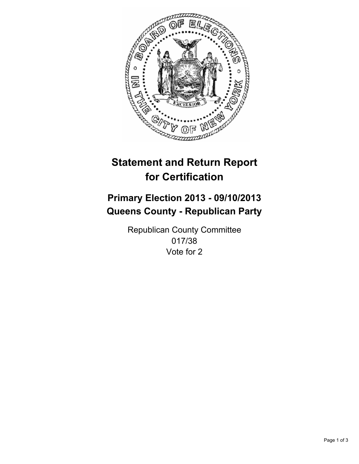

# **Statement and Return Report for Certification**

# **Primary Election 2013 - 09/10/2013 Queens County - Republican Party**

Republican County Committee 017/38 Vote for 2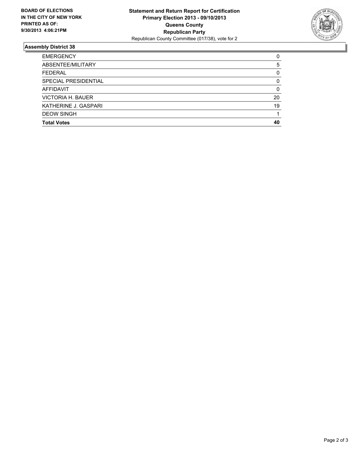

## **Assembly District 38**

| <b>EMERGENCY</b>     | 0        |
|----------------------|----------|
| ABSENTEE/MILITARY    | 5        |
| <b>FEDERAL</b>       | 0        |
| SPECIAL PRESIDENTIAL | 0        |
| <b>AFFIDAVIT</b>     | $\Omega$ |
| VICTORIA H. BAUER    | 20       |
| KATHERINE J. GASPARI | 19       |
| <b>DEOW SINGH</b>    |          |
| <b>Total Votes</b>   | 40       |